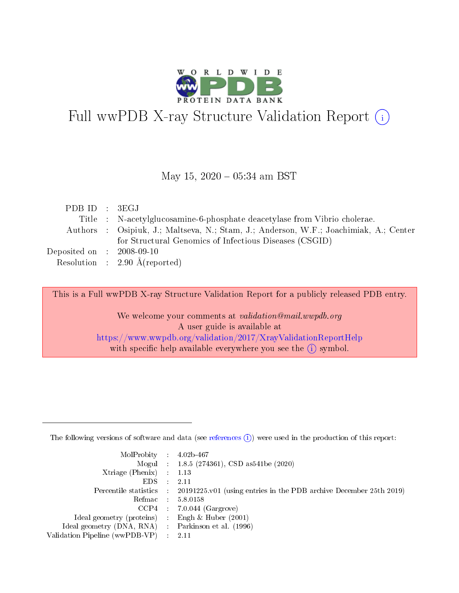

# Full wwPDB X-ray Structure Validation Report (i)

#### May 15,  $2020 - 05:34$  am BST

| PDBID : 3EGJ                        |                                                                                       |
|-------------------------------------|---------------------------------------------------------------------------------------|
|                                     | Title : N-acetylglucosamine-6-phosphate deacetylase from Vibrio cholerae.             |
|                                     | Authors : Osipiuk, J.; Maltseva, N.; Stam, J.; Anderson, W.F.; Joachimiak, A.; Center |
|                                     | for Structural Genomics of Infectious Diseases (CSGID)                                |
| Deposited on $\,$ : 2008-09-10 $\,$ |                                                                                       |
|                                     | Resolution : $2.90 \text{ Å}$ (reported)                                              |

This is a Full wwPDB X-ray Structure Validation Report for a publicly released PDB entry.

We welcome your comments at validation@mail.wwpdb.org A user guide is available at <https://www.wwpdb.org/validation/2017/XrayValidationReportHelp> with specific help available everywhere you see the  $(i)$  symbol.

The following versions of software and data (see [references](https://www.wwpdb.org/validation/2017/XrayValidationReportHelp#references)  $(1)$ ) were used in the production of this report:

| $MolProbability$ : 4.02b-467                        |                                                                                              |
|-----------------------------------------------------|----------------------------------------------------------------------------------------------|
|                                                     | Mogul : 1.8.5 (274361), CSD as 541 be (2020)                                                 |
| Xtriage (Phenix) $: 1.13$                           |                                                                                              |
| $EDS$ :                                             | -2.11                                                                                        |
|                                                     | Percentile statistics : $20191225.v01$ (using entries in the PDB archive December 25th 2019) |
| Refmac : 5.8.0158                                   |                                                                                              |
|                                                     | $CCP4$ : 7.0.044 (Gargrove)                                                                  |
| Ideal geometry (proteins) :                         | Engh $\&$ Huber (2001)                                                                       |
| Ideal geometry (DNA, RNA) : Parkinson et al. (1996) |                                                                                              |
| Validation Pipeline (wwPDB-VP) : 2.11               |                                                                                              |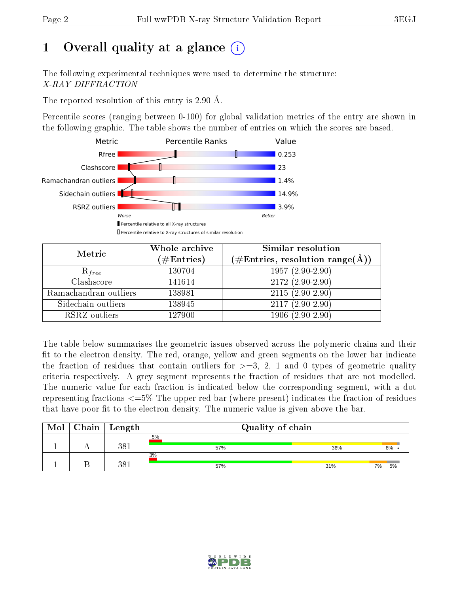## 1 [O](https://www.wwpdb.org/validation/2017/XrayValidationReportHelp#overall_quality)verall quality at a glance  $(i)$

The following experimental techniques were used to determine the structure: X-RAY DIFFRACTION

The reported resolution of this entry is 2.90 Å.

Percentile scores (ranging between 0-100) for global validation metrics of the entry are shown in the following graphic. The table shows the number of entries on which the scores are based.



| Metric                | Whole archive<br>$(\#\text{Entries})$ | Similar resolution<br>$(\#\text{Entries}, \text{resolution range}(\text{\AA}))$ |
|-----------------------|---------------------------------------|---------------------------------------------------------------------------------|
| $R_{free}$            | 130704                                | $1957(2.90-2.90)$                                                               |
| Clashscore            | 141614                                | $2172(2.90-2.90)$                                                               |
| Ramachandran outliers | 138981                                | $2115(2.90-2.90)$                                                               |
| Sidechain outliers    | 138945                                | $2117(2.90-2.90)$                                                               |
| RSRZ outliers         | 127900                                | $1906(2.90-2.90)$                                                               |

The table below summarises the geometric issues observed across the polymeric chains and their fit to the electron density. The red, orange, yellow and green segments on the lower bar indicate the fraction of residues that contain outliers for  $>=3, 2, 1$  and 0 types of geometric quality criteria respectively. A grey segment represents the fraction of residues that are not modelled. The numeric value for each fraction is indicated below the corresponding segment, with a dot representing fractions  $\epsilon=5\%$  The upper red bar (where present) indicates the fraction of residues that have poor fit to the electron density. The numeric value is given above the bar.

| Mol | Chain | Length | Quality of chain |     |          |  |  |
|-----|-------|--------|------------------|-----|----------|--|--|
|     |       | 381    | 5%               | 36% | 6%       |  |  |
|     |       |        | 57%<br>3%        |     |          |  |  |
|     |       | 381    | 57%              | 31% | 5%<br>7% |  |  |

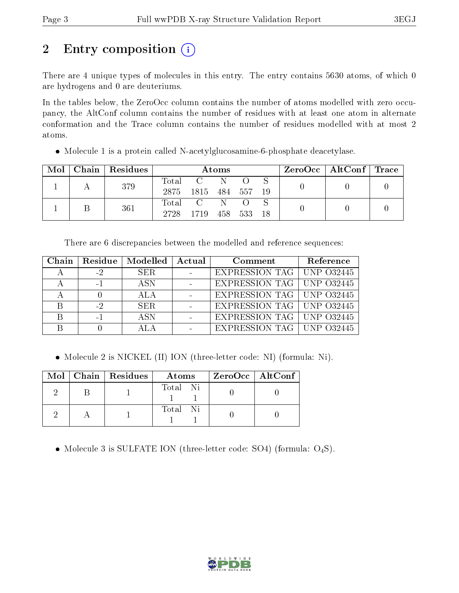## 2 Entry composition (i)

There are 4 unique types of molecules in this entry. The entry contains 5630 atoms, of which 0 are hydrogens and 0 are deuteriums.

In the tables below, the ZeroOcc column contains the number of atoms modelled with zero occupancy, the AltConf column contains the number of residues with at least one atom in alternate conformation and the Trace column contains the number of residues modelled with at most 2 atoms.

• Molecule 1 is a protein called N-acetylglucosamine-6-phosphate deacetylase.

| Mol | Chain   Residues | Atoms         |      |     |       |    | $\text{ZeroOcc}$   AltConf   Trace |  |
|-----|------------------|---------------|------|-----|-------|----|------------------------------------|--|
|     | 379              | Total<br>2875 | 1815 | 484 | 557   | 19 |                                    |  |
|     | 361              | Total<br>2728 | 1719 | 458 | - 533 | 18 |                                    |  |

There are 6 discrepancies between the modelled and reference sequences:

| Chain | Residue | Modelled   | Actual | Comment                     | Reference |
|-------|---------|------------|--------|-----------------------------|-----------|
|       | $-2$    | SER.       |        | EXPRESSION TAG UNP 032445   |           |
|       | $-1$    | <b>ASN</b> |        | EXPRESSION TAG   UNP 032445 |           |
|       |         | ALA        |        | EXPRESSION TAG   UNP 032445 |           |
|       | $-2$    | SER.       |        | EXPRESSION TAG   UNP 032445 |           |
|       |         | A SN       |        | EXPRESSION TAG   UNP 032445 |           |
|       |         | ALA        |        | EXPRESSION TAG   UNP 032445 |           |

• Molecule 2 is NICKEL (II) ION (three-letter code: NI) (formula: Ni).

|  | Mol   Chain   Residues | Atoms    | ZeroOcc   AltConf |  |
|--|------------------------|----------|-------------------|--|
|  |                        | Total Ni |                   |  |
|  |                        | Total Ni |                   |  |

• Molecule 3 is SULFATE ION (three-letter code: SO4) (formula:  $O_4S$ ).

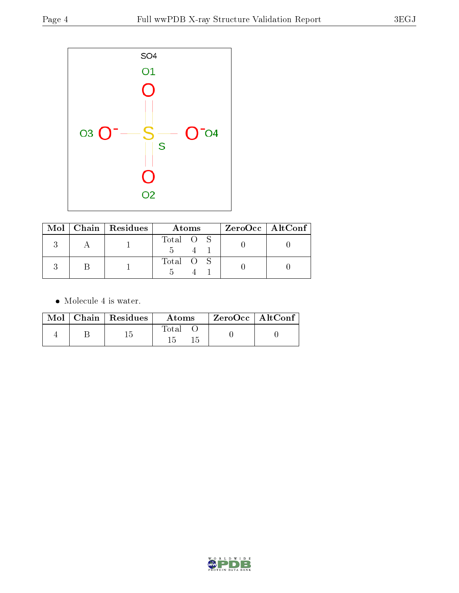

|  | $Mol$   Chain   Residues | Atoms     | $ZeroOcc \   \$ AltConf |
|--|--------------------------|-----------|-------------------------|
|  |                          | Total O S |                         |
|  |                          | Total O S |                         |

• Molecule 4 is water.

|  | $Mol$   Chain   Residues | Atoms | ZeroOcc   AltConf |  |
|--|--------------------------|-------|-------------------|--|
|  |                          | Total |                   |  |

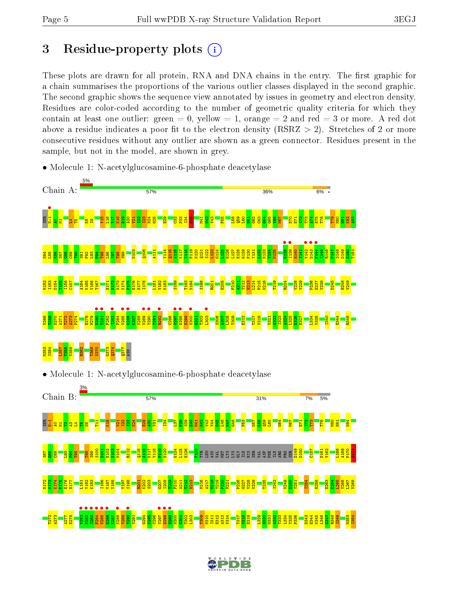T272 A273 A277  $\frac{2}{10}$   $\frac{87}{2}$ 

V289

Y291 G294  $\frac{8}{2}$ C296 N300  $\frac{63}{10}$ T302 L303 T309 M310  $1311$ E312 A313 V314 T317  $\frac{918}{2}$  $\frac{29}{12}$ L329  $\frac{30}{2}$ M331  $\frac{33}{2}$ T333 L334 Y335 P336 D343 E344 K345 L346  $\frac{47}{156}$ R348 I349 M353 I354

### 3 Residue-property plots  $(i)$

These plots are drawn for all protein, RNA and DNA chains in the entry. The first graphic for a chain summarises the proportions of the various outlier classes displayed in the second graphic. The second graphic shows the sequence view annotated by issues in geometry and electron density. Residues are color-coded according to the number of geometric quality criteria for which they contain at least one outlier: green  $= 0$ , yellow  $= 1$ , orange  $= 2$  and red  $= 3$  or more. A red dot above a residue indicates a poor fit to the electron density (RSRZ  $> 2$ ). Stretches of 2 or more consecutive residues without any outlier are shown as a green connector. Residues present in the sample, but not in the model, are shown in grey.



• Molecule 1: N-acetylglucosamine-6-phosphate deacetylase

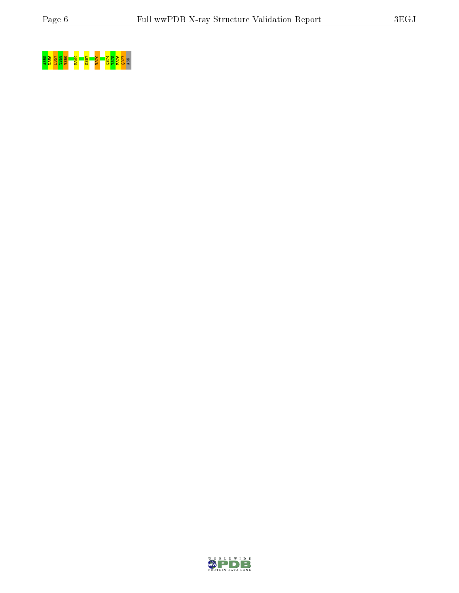



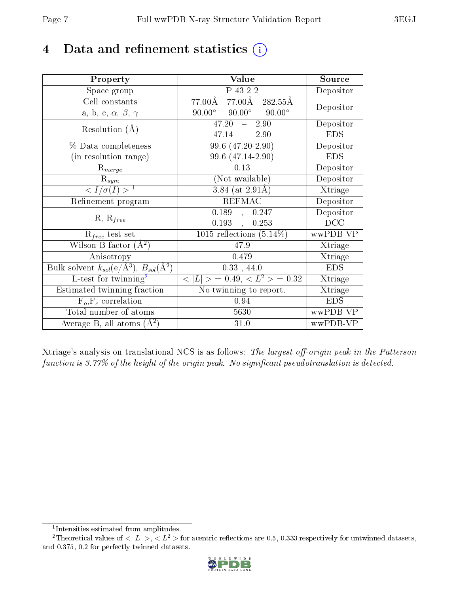### 4 Data and refinement statistics  $(i)$

| Property                                                                 | Value                                            | Source     |
|--------------------------------------------------------------------------|--------------------------------------------------|------------|
| Space group                                                              | P 43 2 2                                         | Depositor  |
| Cell constants                                                           | 77.00Å 77.00Å 282.55Å                            | Depositor  |
| a, b, c, $\alpha$ , $\beta$ , $\gamma$                                   | $90.00^{\circ}$ $90.00^{\circ}$<br>$90.00^\circ$ |            |
| Resolution $(A)$                                                         | 47.20<br>2.90<br>$\frac{1}{2}$                   | Depositor  |
|                                                                          | 47.14<br>$-2.90$                                 | <b>EDS</b> |
| % Data completeness                                                      | 99.6 (47.20-2.90)                                | Depositor  |
| (in resolution range)                                                    | 99.6 (47.14-2.90)                                | <b>EDS</b> |
| $R_{merge}$                                                              | 0.13                                             | Depositor  |
| $\mathrm{R}_{sym}$                                                       | (Not available)                                  | Depositor  |
| $\langle I/\sigma(I) \rangle^{-1}$                                       | $3.84$ (at $2.91\text{\AA}$ )                    | Xtriage    |
| Refinement program                                                       | <b>REFMAC</b>                                    | Depositor  |
| $R, R_{free}$                                                            | 0.189,<br>0.247                                  | Depositor  |
|                                                                          | 0.193,<br>0.253                                  | DCC        |
| $R_{free}$ test set                                                      | 1015 reflections $(5.14\%)$                      | wwPDB-VP   |
| Wilson B-factor $(A^2)$                                                  | 47.9                                             | Xtriage    |
| Anisotropy                                                               | 0.479                                            | Xtriage    |
| Bulk solvent $k_{sol}(\mathrm{e}/\mathrm{A}^3),$ $B_{sol}(\mathrm{A}^2)$ | 0.33, 44.0                                       | <b>EDS</b> |
| L-test for twinning <sup>2</sup>                                         | $< L >$ = 0.49, $< L^2 >$ = 0.32                 | Xtriage    |
| Estimated twinning fraction                                              | $\overline{\text{No}}$ twinning to report.       | Xtriage    |
| $F_o, F_c$ correlation                                                   | 0.94                                             | <b>EDS</b> |
| Total number of atoms                                                    | 5630                                             | wwPDB-VP   |
| Average B, all atoms $(A^2)$                                             | 31.0                                             | wwPDB-VP   |

Xtriage's analysis on translational NCS is as follows: The largest off-origin peak in the Patterson function is  $3.77\%$  of the height of the origin peak. No significant pseudotranslation is detected.

<sup>&</sup>lt;sup>2</sup>Theoretical values of  $\langle |L| \rangle$ ,  $\langle L^2 \rangle$  for acentric reflections are 0.5, 0.333 respectively for untwinned datasets, and 0.375, 0.2 for perfectly twinned datasets.



<span id="page-6-1"></span><span id="page-6-0"></span><sup>1</sup> Intensities estimated from amplitudes.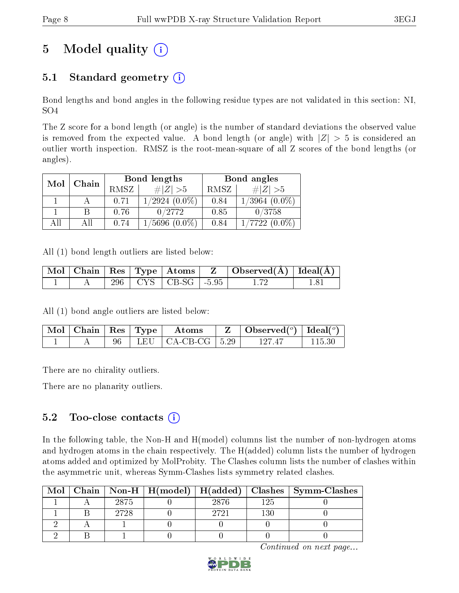## 5 Model quality  $(i)$

### 5.1 Standard geometry  $(i)$

Bond lengths and bond angles in the following residue types are not validated in this section: NI, SO4

The Z score for a bond length (or angle) is the number of standard deviations the observed value is removed from the expected value. A bond length (or angle) with  $|Z| > 5$  is considered an outlier worth inspection. RMSZ is the root-mean-square of all Z scores of the bond lengths (or angles).

| Mol | Chain |      | Bond lengths       | Bond angles |                    |  |
|-----|-------|------|--------------------|-------------|--------------------|--|
|     |       | RMSZ | $\# Z  > 5$        | RMSZ        | $\# Z  > 5$        |  |
|     |       | 0.71 | $1/2924(0.0\%)$    | 0.84        | $1/3964$ $(0.0\%)$ |  |
|     |       | 0.76 | 0/2772             | 0.85        | 0/3758             |  |
| АĦ  |       | 0.74 | $1/5696$ $(0.0\%)$ | 0.84        | $1/7722(0.0\%)$    |  |

All (1) bond length outliers are listed below:

|  |  |                             | $\perp {\rm Mol} \mid {\rm Chain} \mid {\rm Res} \mid {\rm Type} \mid {\rm Atoms} \mid ~ {\rm Z} ~\mid {\rm Observed(A)} \mid {\rm Ideal(A)} \mid {\rm ideal(A)} \mid {\rm A} \mid {\rm Rel(A)} \mid {\rm Rel(A)} \mid {\rm Rel(A)} \mid {\rm Rel(A)} \mid {\rm Rel(A)} \mid {\rm Rel(A)} \mid {\rm Rel(A)} \mid {\rm Rel(A)} \mid {\rm Rel(A)} \mid {\rm Rel(A)} \mid {\rm Rel(A)} \mid {\rm Rel(A)} \mid {\rm Rel(A)} \mid {\rm Rel(A)} \mid {\rm Rel(A)} \mid {\rm Rel(A)} \mid {\rm Rel(A)} \mid {\rm Rel(A)} \mid {\rm Rel(A)} \mid {\rm Rel(A)} \mid {\rm Rel(A)} \mid {\rm Rel$ |  |
|--|--|-----------------------------|----------------------------------------------------------------------------------------------------------------------------------------------------------------------------------------------------------------------------------------------------------------------------------------------------------------------------------------------------------------------------------------------------------------------------------------------------------------------------------------------------------------------------------------------------------------------------------------|--|
|  |  | 296   CYS   CB-SG   $-5.95$ |                                                                                                                                                                                                                                                                                                                                                                                                                                                                                                                                                                                        |  |

All (1) bond angle outliers are listed below:

| $\mid$ Mol $\mid$ Chain $\mid$ Res $\mid$ Type $\mid$ |  | Atoms                           | $\mid$ Observed( $^o$ ) $\mid$ Ideal( $^o$ ) |  |
|-------------------------------------------------------|--|---------------------------------|----------------------------------------------|--|
|                                                       |  | $^+$ LEU   CA-CB-CG   5.29 $^-$ | 197 47                                       |  |

There are no chirality outliers.

There are no planarity outliers.

### $5.2$  Too-close contacts  $\overline{()}$

In the following table, the Non-H and H(model) columns list the number of non-hydrogen atoms and hydrogen atoms in the chain respectively. The H(added) column lists the number of hydrogen atoms added and optimized by MolProbity. The Clashes column lists the number of clashes within the asymmetric unit, whereas Symm-Clashes lists symmetry related clashes.

| Mol |      |       |     | Chain   Non-H   H(model)   H(added)   Clashes   Symm-Clashes |
|-----|------|-------|-----|--------------------------------------------------------------|
|     | 2875 | 28.76 | 125 |                                                              |
|     | 2728 | 2721  | 130 |                                                              |
|     |      |       |     |                                                              |
|     |      |       |     |                                                              |

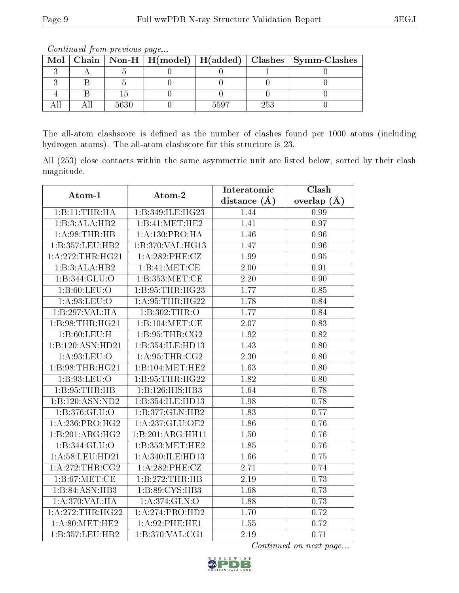| Mol |      |      |     | Chain   Non-H   H(model)   H(added)   Clashes   Symm-Clashes |
|-----|------|------|-----|--------------------------------------------------------------|
|     |      |      |     |                                                              |
|     |      |      |     |                                                              |
|     |      |      |     |                                                              |
|     | 5630 | 5507 | 253 |                                                              |

Continued from previous page...

The all-atom clashscore is defined as the number of clashes found per 1000 atoms (including hydrogen atoms). The all-atom clashscore for this structure is 23.

All (253) close contacts within the same asymmetric unit are listed below, sorted by their clash magnitude.

| Atom-1             | Atom-2             | Interatomic      | Clash         |
|--------------------|--------------------|------------------|---------------|
|                    |                    | distance $(\AA)$ | overlap $(A)$ |
| 1:B:11:THR:HA      | 1:B:349:ILE:HG23   | 1.44             | 0.99          |
| 1:B:3:ALA:HB2      | 1:B:41:MET:HE2     | 1.41             | 0.97          |
| 1: A:98:THR:HB     | 1: A: 130: PRO: HA | 1.46             | 0.96          |
| 1:B:357:LEU:HB2    | 1:B:370:VAL:HG13   | 1.47             | 0.96          |
| 1:A:272:THR:HG21   | $1: A:282:$ PHE:CZ | 1.99             | $0.95\,$      |
| 1:B:3:ALA:HB2      | 1:B:41:MET:CE      | 2.00             | 0.91          |
| 1:B:344:GLU:O      | 1:B:353:MET:CE     | 2.20             | 0.90          |
| 1: B:60: LEU:O     | 1:B:95:THR:HG23    | 1.77             | 0.85          |
| 1: A:93: LEU:O     | 1: A:95:THR:HG22   | 1.78             | 0.84          |
| 1:B:297:VAL:HA     | 1:B:302:THR:O      | 1.77             | 0.84          |
| 1:B:98:THR:HG21    | 1:B:104:MET:CE     | 2.07             | 0.83          |
| 1: B:60: LEU:H     | 1: B:95:THR:CG2    | 1.92             | 0.82          |
| 1:B:120:ASN:HD21   | 1:B:354:ILE:HD13   | 1.43             | 0.80          |
| 1: A:93: LEU:O     | 1: A:95:THR:CG2    | 2.30             | 0.80          |
| 1:B:98:THR:HG21    | 1:B:104:MET:HE2    | 1.63             | 0.80          |
| $1: B.93:$ LEU:O   | 1:B:95:THR:HG22    | 1.82             | 0.80          |
| 1:B:95:THR:HB      | 1:B:126:HIS:HB3    | 1.64             | 0.78          |
| 1:B:120:ASN:ND2    | 1:B:354:ILE:HD13   | 1.98             | 0.78          |
| 1:1:376:GLU:O      | 1:B:377:GLN:HB2    | 1.83             | 0.77          |
| 1: A:236: PRO:HG2  | 1:A:237:GLU:OE2    | 1.86             | 0.76          |
| 1:B:201:ARG:HG2    | 1:B:201:ARG:HH11   | 1.50             | 0.76          |
| 1:B:344:GLU:O      | 1:B:353:MET:HE2    | 1.85             | 0.76          |
| 1: A:58: LEU: HD21 | 1:A:340:ILE:HD13   | 1.66             | 0.75          |
| 1:A:272:THR:CG2    | 1:A:282:PHE:CZ     | 2.71             | 0.74          |
| 1: B:67: MET:CE    | 1: B: 272: THR: HB | 2.19             | 0.73          |
| 1:B:84:ASN:HB3     | 1:B:89:CYS:HB3     | 1.68             | 0.73          |
| 1:A:370:VAL:HA     | 1: A:374: GLN:O    | 1.88             | 0.73          |
| 1: A:272:THR:HG22  | 1:A:274:PRO:HD2    | 1.70             | 0.72          |
| 1: A:80:MET:HE2    | 1: A:92: PHE: HE1  | 1.55             | 0.72          |
| 1:B:357:LEU:HB2    | 1:B:370:VAL:CG1    | 2.19             | 0.71          |

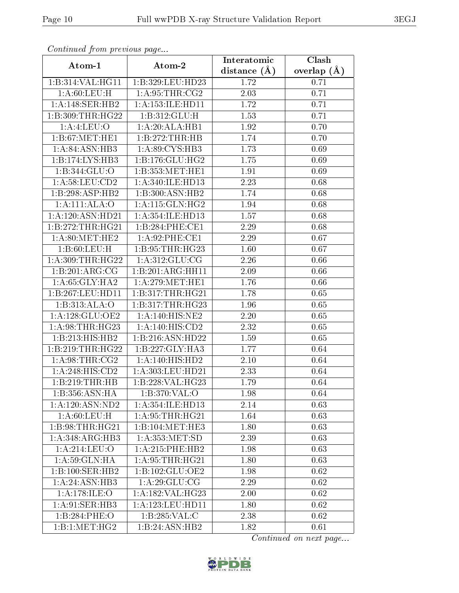| Continuea from previous page           |                      | Interatomic    | Clash         |
|----------------------------------------|----------------------|----------------|---------------|
| Atom-1                                 | Atom-2               | distance $(A)$ | overlap $(A)$ |
| 1:B:314:VAL:HG11                       | 1:B:329:LEU:HD23     | 1.72           | 0.71          |
| 1: A:60: LEU:H                         | 1: A:95:THR:CG2      | 2.03           | 0.71          |
| 1:A:148:SER:HB2                        | 1: A: 153: ILE: HD11 | 1.72           | 0.71          |
| 1:B:309:THR:HG22                       | 1:B:312:GLU:H        | 1.53           | 0.71          |
| 1: A: 4: LEU: O                        | 1:A:20:ALA:HB1       | 1.92           | 0.70          |
| 1:B:67:MET:HE1                         | 1:B:272:THR:HB       | 1.74           | 0.70          |
| 1: A:84: ASN:HB3                       | 1: A:89: CYS:HB3     | 1.73           | 0.69          |
| 1:B:174:LYS:HB3                        | 1:B:176:GLU:HG2      | 1.75           | 0.69          |
| 1:B:344:GLU:O                          | 1:B:353:MET:HE1      | 1.91           | 0.69          |
| 1: A:58:LEU:CD2                        | 1: A:340: ILE: HD13  | 2.23           | 0.68          |
| 1:B:298:ASP:HB2                        | 1:B:300:ASN:HB2      | 1.74           | 0.68          |
| 1:A:111:ALA:O                          | 1:A:115:GLN:HG2      | 1.94           | 0.68          |
| 1:A:120:ASN:HD21                       | 1:A:354:ILE:HD13     | 1.57           | 0.68          |
| 1:B:272:THR:HG21                       | 1:B:284:PHE:CE1      | 2.29           | 0.68          |
| 1: A:80:MET:HE2                        | 1: A:92: PHE:CE1     | 2.29           | 0.67          |
| 1:B:60:LEU:H                           | 1:B:95:THR:HG23      | 1.60           | 0.67          |
| 1: A:309:THR:HG22                      | 1: A:312: GLU:CG     | 2.26           | 0.66          |
| 1:B:201:ARG:CG                         | 1:B:201:ARG:HH11     | 2.09           | 0.66          |
| 1: A:65: GLY:HA2                       | 1: A:279:MET:HE1     | 1.76           | 0.66          |
| 1:B:267:LEU:HD11                       | 1:B:317:THR:HG21     | 1.78           | 0.65          |
| 1:B:313:ALA:O                          | 1:B:317:THR:HG23     | 1.96           | 0.65          |
| 1: A:128: GLU:OE2                      | 1:A:140:HIS:NE2      | 2.20           | 0.65          |
| 1: A:98:THR:HG23                       | 1: A:140:HIS:CD2     | 2.32           | 0.65          |
| 1:B:213:HIS:HB2                        | 1:B:216:ASN:HD22     | 1.59           | 0.65          |
| 1:B:219:THR:HG22                       | 1:B:227:GLY:HA3      | 1.77           | 0.64          |
| $1:$ A:98:THR: $\overline{\text{CG2}}$ | 1:A:140:HIS:HD2      | 2.10           | 0.64          |
| 1:A:248:HIS:CD2                        | 1:A:303:LEU:HD21     | 2.33           | 0.64          |
| 1:B:219:THR:HB                         | 1:B:228:VAL:HG23     | 1.79           | 0.64          |
| 1:B:356:ASN:HA                         | 1:B:370:VAL:O        | 1.98           | 0.64          |
| 1: A: 120: ASN: ND2                    | 1: A: 354: ILE: HD13 | 2.14           | 0.63          |
| 1: A:60: LEU:H                         | 1: A:95:THR:HG21     | 1.64           | 0.63          |
| 1:B:98:THR:HG21                        | 1:B:104:MET:HE3      | 1.80           | 0.63          |
| 1:A:348:ARG:HB3                        | 1: A: 353: MET:SD    | 2.39           | 0.63          |
| 1:A:214:LEU:O                          | 1:A:215:PHE:HB2      | 1.98           | 0.63          |
| 1: A:59: GLN: HA                       | 1: A:95:THR:HG21     | 1.80           | 0.63          |
| 1:B:100:SER:HB2                        | 1:B:102:GLU:OE2      | 1.98           | 0.62          |
| 1:A:24:ASN:HB3                         | 1: A:29: GLU:CG      | 2.29           | 0.62          |
| 1: A:178: ILE: O                       | 1:A:182:VAL:HG23     | 2.00           | 0.62          |
| 1: A:91: SER:HB3                       | 1: A: 123: LEU: HD11 | 1.80           | 0.62          |
| 1:B:284:PHE:O                          | 1:B:285:VAL:C        | 2.38           | 0.62          |
| 1:B:1:MET:HG2                          | 1:B:24:ASN:HB2       | 1.82           | 0.61          |

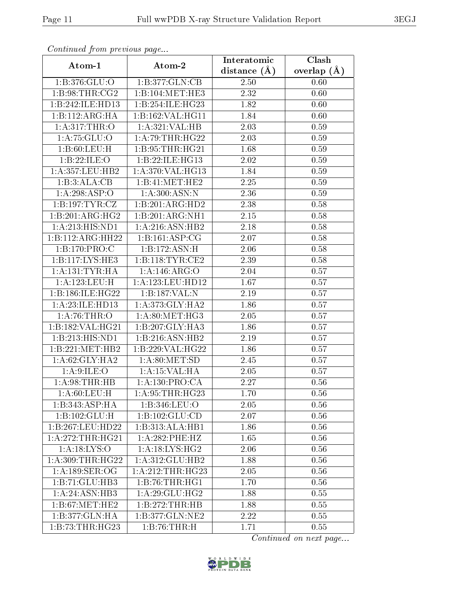| Continuea from previous page |                     | Interatomic    | Clash           |
|------------------------------|---------------------|----------------|-----------------|
| Atom-1                       | Atom-2              | distance $(A)$ | overlap $(\AA)$ |
| 1:B:376:GLU:O                | 1:B:377:GLN:CB      | 2.50           | 0.60            |
| 1: B:98: THR: CG2            | 1:B:104:MET:HE3     | 2.32           | 0.60            |
| 1:B:242:ILE:HD13             | 1:B:254:ILE:HG23    | 1.82           | 0.60            |
| 1:B:112:ARG:HA               | 1:B:162:VAL:HG11    | 1.84           | 0.60            |
| 1: A:317:THR:O               | 1:A:321:VAL:HB      | 2.03           | 0.59            |
| 1: A: 75: GLU:O              | 1: A:79:THR:HG22    | 2.03           | 0.59            |
| 1:B:60:LEU:H                 | 1: B: 95: THR: HG21 | 1.68           | 0.59            |
| 1:B:22:ILE:O                 | 1:B:22:ILE:HG13     | 2.02           | 0.59            |
| 1: A: 357: LEU: HB2          | 1:A:370:VAL:HG13    | 1.84           | 0.59            |
| 1:B:3:ALA:CB                 | 1:B:41:MET:HE2      | 2.25           | 0.59            |
| 1:A:298:ASP:O                | 1: A:300: ASN:N     | 2.36           | 0.59            |
| 1:B:197:TTYR:CZ              | 1:B:201:ARG:HD2     | 2.38           | 0.58            |
| 1:B:201:ARG:HG2              | 1:B:201:ARG:NH1     | 2.15           | 0.58            |
| 1: A:213: HIS: ND1           | 1:A:216:ASN:HB2     | 2.18           | 0.58            |
| 1:B:112:ARG:HH22             | 1:B:161:ASP:CG      | 2.07           | 0.58            |
| 1:B:170:PRO:C                | 1:B:172:ASN:H       | 2.06           | 0.58            |
| 1:B:117:LYS:HE3              | 1:B:118:TYR:CE2     | 2.39           | 0.58            |
| 1: A: 131: TYR: HA           | 1:A:146:ARG:O       | 2.04           | 0.57            |
| 1:A:123:LEU:H                | 1:A:123:LEU:HD12    | 1.67           | 0.57            |
| 1:B:186:ILE:HG22             | 1:B:187:VAL:N       | 2.19           | 0.57            |
| 1:A:23:ILE:HD13              | 1: A:373: GLY:HA2   | 1.86           | 0.57            |
| 1:A:76:THR:O                 | 1: A:80:MET:HG3     | 2.05           | 0.57            |
| 1:B:182:VAL:HG21             | 1:B:207:GLY:HA3     | 1.86           | 0.57            |
| 1:B:213:HIS:ND1              | 1:B:216:ASN:HB2     | 2.19           | 0.57            |
| 1:B:221:MET:HB2              | 1:B:229:VAL:HG22    | 1.86           | 0.57            |
| 1: A:62: GLY: HA2            | 1: A:80:MET:SD      | 2.45           | 0.57            |
| 1: A:9: ILE: O               | 1:A:15:VAL:HA       | 2.05           | 0.57            |
| 1: A:98:THR:HB               | 1:A:130:PRO:CA      | 2.27           | 0.56            |
| 1: A:60: LEU:H               | 1: A:95:THR:HG23    | 1.70           | 0.56            |
| 1:B:343:ASP:HA               | 1:B:346:LEU:O       | 2.05           | 0.56            |
| 1:B:102:GLU:H                | 1: B: 102: GLU: CD  | 2.07           | 0.56            |
| 1:B:267:LEU:HD22             | 1:B:313:ALA:HB1     | 1.86           | 0.56            |
| 1: A:272:THR:HG21            | 1:A:282:PHE:HZ      | 1.65           | 0.56            |
| 1: A: 18: LYS: O             | 1: A:18:LYS:HG2     | $2.06\,$       | 0.56            |
| 1: A:309:THR:HG22            | 1:A:312:GLU:HB2     | 1.88           | 0.56            |
| 1: A:189: SER:OG             | 1: A:212:THR:HG23   | 2.05           | 0.56            |
| 1:B:71:GLU:HB3               | 1: B:76:THR:HGI     | 1.70           | 0.56            |
| 1:A:24:ASN:HB3               | 1: A:29: GLU: HG2   | 1.88           | 0.55            |
| 1:B:67:MET:HE2               | 1:B:272:THR:HB      | 1.88           | 0.55            |
| 1:B:377:GLN:HA               | 1:B:377:GLN:NE2     | 2.22           | 0.55            |
| 1:B:73:THR:HG23              | 1:B:76:THR:H        | 1.71           | 0.55            |

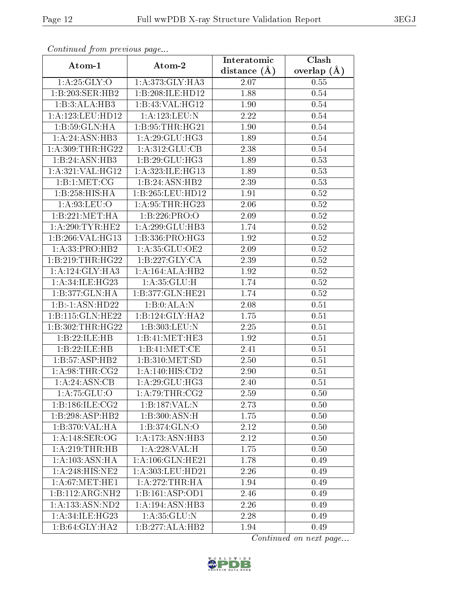| Communaca from previous page |                               | Interatomic      | Clash           |
|------------------------------|-------------------------------|------------------|-----------------|
| Atom-1                       | Atom-2                        | distance $(\AA)$ | overlap $(\AA)$ |
| 1: A:25: GLY:O               | 1:A:373:GLY:HA3               | 2.07             | 0.55            |
| 1:B:203:SER:HB2              | 1:B:208:ILE:HD12              | 1.88             | 0.54            |
| 1:B:3:ALA:HB3                | 1:B:43:VAL:HG12               | 1.90             | 0.54            |
| 1:A:123:LEU:HD12             | 1:A:123:LEU:N                 | 2.22             | 0.54            |
| 1:B:59:GLN:HA                | 1:B:95:THR:HG21               | 1.90             | 0.54            |
| 1:A:24:ASN:HB3               | 1: A:29: GLU:HG3              | 1.89             | 0.54            |
| 1:A:309:THR:HG22             | 1: A:312: GLU:CB              | 2.38             | 0.54            |
| 1:B:24:ASN:HB3               | 1:B:29:GLU:HG3                | 1.89             | 0.53            |
| 1:A:321:VAL:HG12             | 1:A:323:ILE:HG13              | 1.89             | 0.53            |
| 1: B: 1: MET: CG             | 1:B:24:ASN:HB2                | 2.39             | 0.53            |
| 1:B:258:HIS:HA               | 1:B:265:LEU:HD12              | 1.91             | 0.52            |
| 1: A:93: LEU:O               | 1: A:95:THR:HG23              | 2.06             | 0.52            |
| 1:B:221:MET:HA               | 1:B:226:PRO:O                 | 2.09             | 0.52            |
| 1: A:290:TYR:HE2             | 1: A:299: GLU:HB3             | 1.74             | $0.52\,$        |
| 1:B:266:VAL:HG13             | 1:B:336:PRO:HG3               | 1.92             | $0.52\,$        |
| 1: A: 33: PRO: HB2           | 1:A:35:GLU:OE2                | 2.09             | 0.52            |
| 1:B:219:THR:HG22             | 1:B:227:GLY:CA                | 2.39             | 0.52            |
| 1: A:124: GLY: HA3           | 1:A:164:ALA:HB2               | 1.92             | 0.52            |
| 1:A:34:ILE:HG23              | 1: A:35: GLU:H                | 1.74             | 0.52            |
| 1:B:377:GLN:HA               | 1:B:377:GLN:HE21              | 1.74             | 0.52            |
| 1:B:1:ASN:HD22               | 1:B:0:ALA:N                   | 2.08             | 0.51            |
| 1:B:115:GLN:HE22             | 1:B:124:GLY:HA2               | 1.75             | 0.51            |
| 1:B:302:THR:HG22             | 1:B:303:LEU:N                 | 2.25             | 0.51            |
| 1:B:22:ILE:HB                | 1: B:41: MET:HE3              | 1.92             | 0.51            |
| 1:B:22:ILE:HB                | 1:B:41:MET:CE                 | 2.41             | 0.51            |
| 1:B:57:ASP:HB2               | 1:B:310:MET:SD                | 2.50             | 0.51            |
| 1: A:98:THR:CG2              | 1: A:140:HIS:CD2              | 2.90             | 0.51            |
| 1: A:24: ASN:CB              | 1:A:29:GLU:HG3                | 2.40             | 0.51            |
| 1: A:75: GLU:O               | $1: A:79:THR: \overline{CG2}$ | 2.59             | 0.50            |
| 1:B:186:ILE:CG2              | 1:B:187:VAL:N                 | 2.73             | 0.50            |
| 1:B:298:ASP:HB2              | 1:B:300:ASN:H                 | 1.75             | 0.50            |
| 1:B:370:VAL:HA               | 1:B:374:GLN:O                 | 2.12             | 0.50            |
| 1:A:148:SER:OG               | 1:A:173:ASN:HB3               | 2.12             | 0.50            |
| 1: A:219:THR:HB              | 1:A:228:VAL:H                 | 1.75             | 0.50            |
| 1: A: 103: ASN: HA           | 1:A:106:GLN:HE21              | 1.78             | 0.49            |
| 1:A:248:HIS:NE2              | 1:A:303:LEU:HD21              | 2.26             | 0.49            |
| 1: A:67: MET:HE1             | 1: A:272:THR:HA               | 1.94             | 0.49            |
| 1:B:112:ARG:NH2              | 1:B:161:ASP:OD1               | 2.46             | 0.49            |
| 1: A: 133: ASN: ND2          | 1:A:194:ASN:HB3               | 2.26             | 0.49            |
| 1:A:34:ILE:HG23              | 1:A:35:GLU:N                  | 2.28             | 0.49            |
| 1:B:64:GLY:HA2               | 1:B:277:ALA:HB2               | 1.94             | 0.49            |

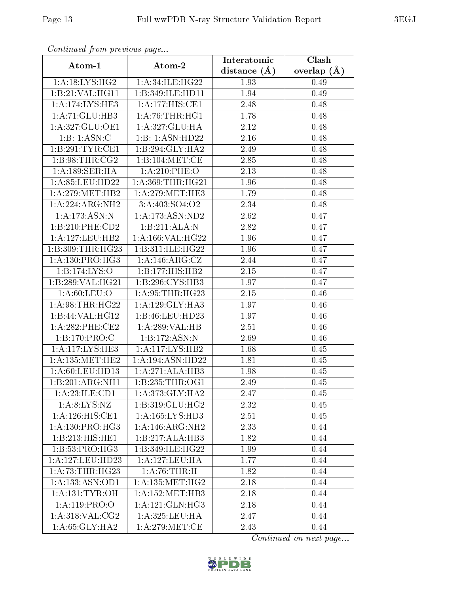| Continuea from previous page |                                       | Interatomic       | Clash           |
|------------------------------|---------------------------------------|-------------------|-----------------|
| Atom-1                       | Atom-2                                | distance $(A)$    | overlap $(\AA)$ |
| $1:A:18:L\overline{YS:HG2}$  | 1:A:34:ILE:HG22                       | 1.93              | 0.49            |
| 1:B:21:VAL:HG11              | 1:B:349:ILE:HD11                      | $\overline{1}.94$ | 0.49            |
| 1:A:174:LYS:HE3              | $1:A:177:HIS:\overline{\mathrm{CE1}}$ | 2.48              | 0.48            |
| 1: A:71: GLU:HB3             | 1: A:76:THR:HGI                       | 1.78              | 0.48            |
| 1:A:327:GLU:OE1              | 1:A:327:GLU:HA                        | 2.12              | 0.48            |
| 1:B:1:ASN:C                  | 1:B:1:ASN:HD22                        | 2.16              | 0.48            |
| 1:B:291:TYR:CE1              | 1:B:294:GLY:HA2                       | 2.49              | 0.48            |
| 1:B:98:THR:CG2               | 1:B:104:MET:CE                        | 2.85              | 0.48            |
| 1:A:189:SER:HA               | $1: A:210:$ PHE:O                     | 2.13              | 0.48            |
| 1: A:85: LEU:HD22            | 1: A: 369: THR: HG21                  | 1.96              | 0.48            |
| 1: A:279: MET:HB2            | 1: A:279: MET:HE3                     | 1.79              | 0.48            |
| 1:A:224:ARG:NH2              | 3:A:403:SO4:O2                        | 2.34              | 0.48            |
| $1:A:173:ASN:\overline{N}$   | 1: A: 173: ASN: ND2                   | 2.62              | 0.47            |
| 1:B:210:PHE:CD2              | 1:B:211:ALA:N                         | 2.82              | 0.47            |
| 1:A:127:LEU:HB2              | 1:A:166:VAL:HG22                      | 1.96              | 0.47            |
| 1:B:309:THR:HG23             | 1:B:311:ILE:HG22                      | 1.96              | 0.47            |
| 1:A:130:PRO:HG3              | 1:A:146:ARG:CZ                        | 2.44              | 0.47            |
| 1:B:174:LYS:O                | 1:B:177:HIS:HB2                       | 2.15              | 0.47            |
| 1:B:289:VAL:HG21             | 1:B:296:CYS:HB3                       | 1.97              | 0.47            |
| 1: A:60: LEU:O               | 1: A:95:THR:HG23                      | 2.15              | 0.46            |
| 1: A:98:THR:HG22             | 1: A:129: GLY:HA3                     | 1.97              | 0.46            |
| 1:B:44:VAL:HG12              | 1:B:46:LEU:HD23                       | 1.97              | 0.46            |
| $1: A:282:$ PHE:CE2          | 1:A:289:VAL:HB                        | 2.51              | 0.46            |
| 1:B:170:PRO:C                | 1:B:172:ASN:N                         | 2.69              | 0.46            |
| 1:A:117:LYS:HE3              | 1:A:117:LYS:HB2                       | 1.68              | 0.45            |
| 1: A: 135: MET: HE2          | 1:A:194:ASN:HD22                      | 1.81              | 0.45            |
| 1: A:60:LEU:HD13             | 1:A:271:ALA:HB3                       | 1.98              | 0.45            |
| 1:B:201:ARG:NH1              | 1:B:235:THR:OG1                       | 2.49              | 0.45            |
| 1:A:23:ILE:CD1               | 1: A:373: GLY:HA2                     | 2.47              | 0.45            |
| 1: A:8: LYS: NZ              | 1:B:319:GLU:HG2                       | 2.32              | 0.45            |
| 1:A:126:HIS:CE1              | $1:A:165:\overline{\text{LYS:HD3}}$   | 2.51              | 0.45            |
| 1: A: 130: PRO:HG3           | 1:A:146:ARG:NH2                       | 2.33              | 0.44            |
| 1:B:213:HIS:HE1              | 1:B:217:ALA:HB3                       | 1.82              | 0.44            |
| 1:B:53:PRO:HG3               | 1:B:349:ILE:HG22                      | 1.99              | 0.44            |
| 1: A:127:LEU:HD23            | 1:A:127:LEU:HA                        | 1.77              | 0.44            |
| 1:A:73:THR:HG23              | 1: A:76:THR:H                         | 1.82              | 0.44            |
| 1:A:133:ASN:OD1              | 1: A: 135: MET:HG2                    | 2.18              | 0.44            |
| 1: A:131: TYR:OH             | 1: A:152:MET:HB3                      | 2.18              | 0.44            |
| 1: A:119: PRO:O              | 1:A:121:GLN:HG3                       | 2.18              | 0.44            |
| 1: A:318: VAL: CG2           | 1:A:325:LEU:HA                        | 2.47              | 0.44            |
| 1: A:65: GLY:HA2             | 1: A:279:MET:CE                       | 2.43              | 0.44            |

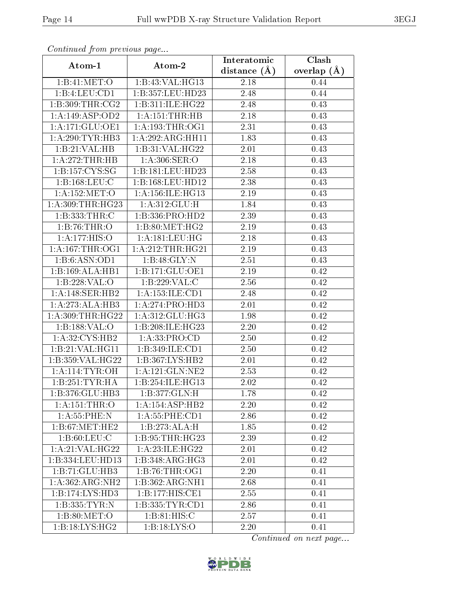| Continuea from previous page |                      | Interatomic       | Clash           |
|------------------------------|----------------------|-------------------|-----------------|
| Atom-1                       | Atom-2               | distance $(A)$    | overlap $(\AA)$ |
| 1: B: 41: MET:O              | 1:B:43:VAL:HG13      | 2.18              | 0.44            |
| 1:B:4:LEU:CD1                | 1:B:357:LEU:HD23     | 2.48              | 0.44            |
| 1: B: 309: THR: CG2          | 1:B:311:ILE:HG22     | 2.48              | 0.43            |
| 1:A:149:ASP:OD2              | 1:A:151:THR:HB       | 2.18              | 0.43            |
| 1: A:171: GLU:OE1            | 1: A: 193: THR: OG1  | 2.31              | 0.43            |
| 1:A:290:TYR:HB3              | 1:A:292:ARG:HH11     | 1.83              | 0.43            |
| 1:B:21:VAL:HB                | 1:B:31:VAL:HG22      | 2.01              | 0.43            |
| 1:A:272:THR:HB               | 1: A:306: SER:O      | 2.18              | 0.43            |
| 1:B:157:CYS:SG               | 1:B:181:EU:HD23      | 2.58              | 0.43            |
| 1:B:168:LEU:C                | 1:B:168:LEU:HD12     | 2.38              | 0.43            |
| 1: A:152:MET:O               | 1: A: 156: ILE: HG13 | $2.19\,$          | 0.43            |
| 1: A:309:THR:HG23            | 1: A:312: GLU: H     | 1.84              | 0.43            |
| 1:B:333:THR:C                | 1:B:336:PRO:HD2      | 2.39              | 0.43            |
| 1:B:76:THR:O                 | 1:B:80:MET:HG2       | 2.19              | 0.43            |
| 1:A:177:HIS:O                | 1: A:181:LEU:HG      | 2.18              | 0.43            |
| 1: A: 167:THR:OG1            | 1: A:212:THR:HG21    | 2.19              | 0.43            |
| 1:B:6:ASN:OD1                | 1:B:48:GLY:N         | 2.51              | 0.43            |
| 1:B:169:ALA:HB1              | 1: B: 171: GLU: OE1  | 2.19              | 0.42            |
| 1:B:228:VAL:O                | 1:B:229:VAL:C        | 2.56              | 0.42            |
| 1: A:148: SER: HB2           | 1: A: 153: ILE: CD1  | 2.48              | 0.42            |
| 1:A:273:ALA:HB3              | 1:A:274:PRO:HD3      | $\overline{2}.01$ | 0.42            |
| 1:A:309:THR:HG22             | 1: A:312: GLU: HG3   | 1.98              | 0.42            |
| 1:B:188:VAL:O                | 1:B:208:ILE:HG23     | $2.20\,$          | 0.42            |
| 1:A:32:CYS:HB2               | 1: A: 33: PRO: CD    | 2.50              | 0.42            |
| 1:B:21:VAL:HG11              | 1:B:349:ILE:CD1      | 2.50              | 0.42            |
| 1:B:359:VAL:HG22             | 1:B:367:LYS:HB2      | 2.01              | 0.42            |
| 1: A:114:TYR:OH              | 1:A:121:GLN:NE2      | 2.53              | 0.42            |
| 1:B:251:TYR:HA               | 1:B:254:ILE:HG13     | 2.02              | 0.42            |
| 1:B:376:GLU:HB3              | 1:B:377:GLN:H        | 1.78              | 0.42            |
| 1:A:151:THR:O                | 1:A:154:ASP:HB2      | 2.20              | 0.42            |
| 1: A:55:PHE:N                | 1: A: 55: PHE: CD1   | 2.86              | 0.42            |
| 1: B:67: MET:HE2             | 1:B:273:ALA:H        | 1.85              | 0.42            |
| 1: B:60: LEU: C              | 1: B: 95: THR: HG23  | 2.39              | 0.42            |
| 1:A:21:VAL:HG22              | 1: A:23: ILE: HG22   | 2.01              | 0.42            |
| 1:B:334:LEU:HD13             | 1:B:348:ARG:HG3      | 2.01              | 0.42            |
| 1:B:71:GLU:HB3               | 1:B:76:THR:OG1       | 2.20              | 0.41            |
| 1:A:362:ARG:NH2              | 1:B:362:ARG:NH1      | 2.68              | 0.41            |
| 1:B:174:LYS:HD3              | 1:B:177:HIS:CE1      | 2.55              | 0.41            |
| 1:B:335:TYR:N                | 1:B:335:TYR:CD1      | 2.86              | 0.41            |
| 1: B:80:MET:O                | 1: B:81: HIS:C       | 2.57              | 0.41            |
| 1:B:18:LYS:HG2               | 1:B:18:LYS:O         | 2.20              | 0.41            |

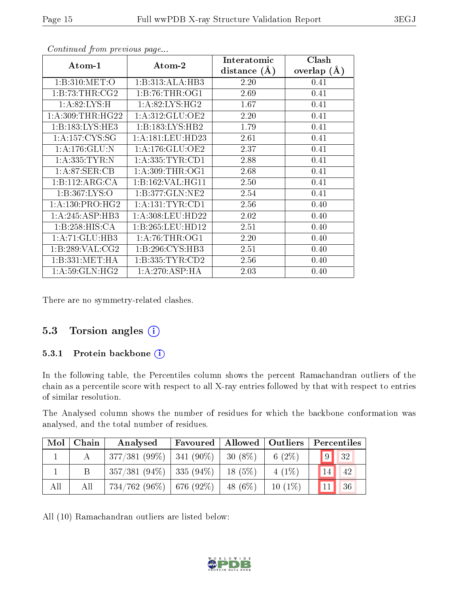| Atom-1              | Atom-2              | Interatomic<br>distance $(A)$ | Clash<br>overlap $(A)$ |
|---------------------|---------------------|-------------------------------|------------------------|
| 1: B:310: MET:O     | 1:B:313:ALA:HB3     | 2.20                          | 0.41                   |
| 1: B:73:THR:CG2     | 1:B:76:THR:OG1      | 2.69                          | 0.41                   |
| 1: A:82: LYS:H      | 1: A:82:LYS:HG2     | 1.67                          | 0.41                   |
| 1: A:309:THR:HG22   | 1: A:312: GLU:OE2   | 2.20                          | 0.41                   |
| 1: B: 183: LYS: HE3 | 1:B:183:LYS:HB2     | 1.79                          | 0.41                   |
| 1: A: 157: CYS: SG  | 1:A:181:LEU:HD23    | 2.61                          | 0.41                   |
| 1: A:176: GLU:N     | 1: A:176: GLU:OE2   | 2.37                          | 0.41                   |
| 1: A: 335: TYR: N   | 1:A:335:TYR:CD1     | 2.88                          | 0.41                   |
| 1: A:87:SER:CB      | 1: A:309:THR:OG1    | 2.68                          | 0.41                   |
| 1: B: 112: ARG: CA  | 1:B:162:VAL:HG11    | 2.50                          | 0.41                   |
| 1: B: 367: LYS: O   | 1:B:377:GLN:NE2     | 2.54                          | 0.41                   |
| 1: A: 130: PRO:HG2  | 1: A: 131: TYR: CD1 | 2.56                          | 0.40                   |
| 1:A:245:ASP:HB3     | 1: A:308:LEU:HD22   | 2.02                          | 0.40                   |
| 1:B:258:HIS:CA      | 1:B:265:LEU:HDI2    | 2.51                          | 0.40                   |
| 1:A:71:GLU:HB3      | 1: A:76:THR:OG1     | 2.20                          | 0.40                   |
| 1:B:289:VAL:CG2     | 1: B:296: CYS:HB3   | 2.51                          | 0.40                   |
| 1: B: 331: MET: HA  | 1: B: 335: TYR: CD2 | 2.56                          | 0.40                   |
| 1: A:59: GLN: HG2   | 1:A:270:ASP:HA      | 2.03                          | 0.40                   |

There are no symmetry-related clashes.

#### 5.3 Torsion angles  $(i)$

#### 5.3.1 Protein backbone (i)

In the following table, the Percentiles column shows the percent Ramachandran outliers of the chain as a percentile score with respect to all X-ray entries followed by that with respect to entries of similar resolution.

The Analysed column shows the number of residues for which the backbone conformation was analysed, and the total number of residues.

| Mol | Chain | Analysed                      | Favoured |            | Allowed   Outliers | Percentiles      |
|-----|-------|-------------------------------|----------|------------|--------------------|------------------|
|     |       | $377/381(99\%)$   341 (90\%)  |          | $30(8\%)$  | 6 $(2\%)$          | 9 <br>$\vert$ 32 |
|     |       | $357/381(94\%)$ 335 (94\%)    |          | $18(5\%)$  | $4(1\%)$           | 14<br>42         |
| All | Αll   | $734/762$ (96\%)   676 (92\%) |          | 48 $(6\%)$ | $10(1\%)$          | <b>36</b>        |

All (10) Ramachandran outliers are listed below:

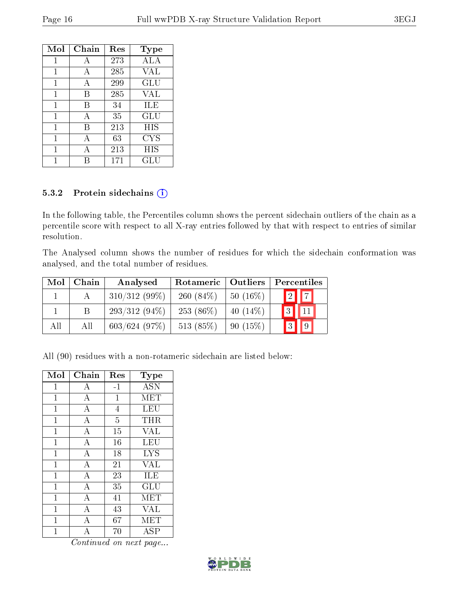| Mol | Chain | Res | <b>Type</b>          |
|-----|-------|-----|----------------------|
| 1   | А     | 273 | ALA                  |
| 1   | А     | 285 | VAL                  |
| 1   | A     | 299 | GLU                  |
| 1   | В     | 285 | VAL                  |
| 1   | В     | 34  | ILE                  |
| 1   | A     | 35  | GLU                  |
| 1   | В     | 213 | HIS                  |
| 1   | А     | 63  | CYS                  |
| 1   | А     | 213 | HIS                  |
|     |       | 171 | $\operatorname{GLU}$ |

#### 5.3.2 Protein sidechains (i)

In the following table, the Percentiles column shows the percent sidechain outliers of the chain as a percentile score with respect to all X-ray entries followed by that with respect to entries of similar resolution.

The Analysed column shows the number of residues for which the sidechain conformation was analysed, and the total number of residues.

| Mol | Chain | Analysed        | Rotameric    | Outliers    | Percentiles |          |
|-----|-------|-----------------|--------------|-------------|-------------|----------|
|     |       | $310/312(99\%)$ | 260 $(84\%)$ | $50(16\%)$  | 2           | $ \tau $ |
|     |       | $293/312(94\%)$ | $253(86\%)$  | 40 $(14\%)$ | 3           |          |
| All | All   | 603/624(97%)    | 513 (85%)    | 90(15%)     |             |          |

All (90) residues with a non-rotameric sidechain are listed below:

| Mol            | Chain              | Res            | Type       |
|----------------|--------------------|----------------|------------|
| $\mathbf{1}$   | A                  | $-1$           | <b>ASN</b> |
| $\overline{1}$ | $\overline{A}$     | 1              | <b>MET</b> |
| $\mathbf 1$    | $\bf{A}$           | $\overline{4}$ | LEU        |
| $\mathbf{1}$   | $\overline{A}$     | $\overline{5}$ | THR        |
| $\overline{1}$ | $\overline{\rm A}$ | 15             | <b>VAL</b> |
| $\overline{1}$ | $\overline{A}$     | 16             | <b>LEU</b> |
| $\mathbf{1}$   | $\overline{\rm A}$ | 18             | <b>LYS</b> |
| $\mathbf{1}$   | $\overline{A}$     | 21             | <b>VAL</b> |
| $\overline{1}$ | $\boldsymbol{A}$   | 23             | ILE        |
| 1              | $\bf{A}$           | 35             | GLU        |
| 1              | $\overline{A}$     | 41             | MET        |
| $\mathbf{1}$   | $\overline{A}$     | 43             | <b>VAL</b> |
| 1              | А                  | 67             | MET        |
| 1              | $\mathbf{A}$       | $70\,$         | <b>ASP</b> |

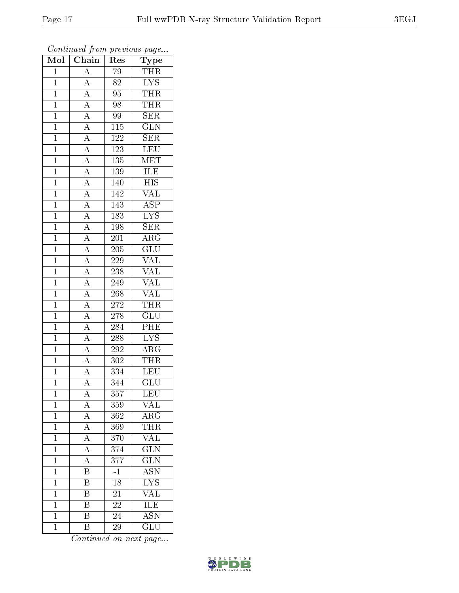| $\overline{\text{Mol}}$ | $\cdots$ , $\cdots$<br>$\boxed{\text{Chain}}$                                                                                                                                                                                                                                     | $\mathbf{r}$<br>Res | $\mathbf{r}$ - $\mathbf{v}$<br>${\rm \bar{Type}}$ |
|-------------------------|-----------------------------------------------------------------------------------------------------------------------------------------------------------------------------------------------------------------------------------------------------------------------------------|---------------------|---------------------------------------------------|
| $\mathbf{1}$            | $\overline{A}$                                                                                                                                                                                                                                                                    | 79                  | <b>THR</b>                                        |
| $\mathbf{1}$            |                                                                                                                                                                                                                                                                                   | 82                  | $\overline{\text{LYS}}$                           |
| $\overline{1}$          |                                                                                                                                                                                                                                                                                   | $95\,$              | <b>THR</b>                                        |
| $\mathbf{1}$            |                                                                                                                                                                                                                                                                                   | 98                  | <b>THR</b>                                        |
| $\overline{1}$          |                                                                                                                                                                                                                                                                                   | 99                  | SER                                               |
| $\mathbf 1$             |                                                                                                                                                                                                                                                                                   | 115                 | $\overline{\text{GLN}}$                           |
| $\overline{1}$          |                                                                                                                                                                                                                                                                                   | $122\,$             | $\overline{\text{SER}}$                           |
| $\mathbf{1}$            |                                                                                                                                                                                                                                                                                   | 123                 | LEU                                               |
| $\overline{1}$          |                                                                                                                                                                                                                                                                                   | 135                 | $\overline{\text{MET}}$                           |
| $\mathbf{1}$            |                                                                                                                                                                                                                                                                                   | 139                 | ILE                                               |
| $\mathbf{1}$            |                                                                                                                                                                                                                                                                                   | 140                 | $\overline{HIS}$                                  |
| $\overline{1}$          |                                                                                                                                                                                                                                                                                   | 142                 | $\overline{\text{VAL}}$                           |
| $\overline{1}$          | $\frac{\overline{A}}{\overline{A}} \frac{\overline{A}}{\overline{A}} \frac{\overline{A}}{\overline{A}} \frac{\overline{A}}{\overline{A}} \frac{\overline{A}}{\overline{A}} \frac{\overline{A}}{\overline{A}} \frac{\overline{A}}{\overline{A}} \frac{\overline{A}}{\overline{A}}$ | 143                 | $\overline{\text{ASP}}$                           |
| $\overline{1}$          |                                                                                                                                                                                                                                                                                   | $\overline{183}$    | $\overline{\text{LYS}}$                           |
| $\overline{1}$          |                                                                                                                                                                                                                                                                                   | 198                 | $\overline{\text{SER}}$                           |
| $\mathbf{1}$            |                                                                                                                                                                                                                                                                                   | 201                 | $\overline{\text{ARG}}$                           |
| $\mathbf{1}$            | $\frac{\overline{A}}{\overline{A}}$ $\frac{\overline{A}}{\overline{A}}$ $\frac{\overline{A}}{\overline{A}}$                                                                                                                                                                       | $\overline{205}$    | $\overline{\text{GLU}}$                           |
| $\overline{1}$          |                                                                                                                                                                                                                                                                                   | $\overline{2}29$    | $\overline{\text{VAL}}$                           |
| $\overline{1}$          |                                                                                                                                                                                                                                                                                   | 238                 | $\overline{\text{VAL}}$                           |
| $\overline{1}$          |                                                                                                                                                                                                                                                                                   | 249                 | $\overline{\text{VAL}}$                           |
| $\mathbf{1}$            |                                                                                                                                                                                                                                                                                   | 268                 | <b>VAL</b>                                        |
| $\overline{1}$          |                                                                                                                                                                                                                                                                                   | 272                 | <b>THR</b>                                        |
| $\mathbf 1$             |                                                                                                                                                                                                                                                                                   | 278                 | $\overline{\text{GLU}}$                           |
| $\overline{1}$          | $\overline{A}$                                                                                                                                                                                                                                                                    | 284                 | $\overline{\text{PHE}}$                           |
| $\overline{1}$          | $\overline{A}$                                                                                                                                                                                                                                                                    | 288                 | $\overline{\text{LYS}}$                           |
| $\overline{1}$          | $\frac{\overline{A}}{A}$                                                                                                                                                                                                                                                          | 292                 | $\overline{\rm{ARG}}$                             |
| $\mathbf{1}$            |                                                                                                                                                                                                                                                                                   | 302                 | <b>THR</b>                                        |
| $\overline{1}$          | $\overline{A}$                                                                                                                                                                                                                                                                    | 334                 | $\overline{\text{LEU}}$                           |
| $\overline{1}$          | $\overline{A}$                                                                                                                                                                                                                                                                    | $\overline{344}$    | $\overline{{\rm GLU}}$                            |
| 1                       | $\mathbf{A}$                                                                                                                                                                                                                                                                      | 357                 | <b>LEU</b>                                        |
| $\mathbf{1}$            | $\overline{A}$                                                                                                                                                                                                                                                                    | 359                 | $\overline{\text{VAL}}$                           |
| $\overline{1}$          | $\frac{\overline{A}}{\overline{A}}$                                                                                                                                                                                                                                               | 362                 | $\overline{\text{ARG}}$                           |
| $\mathbf{1}$            |                                                                                                                                                                                                                                                                                   | 369                 | <b>THR</b>                                        |
| $\overline{1}$          | $\frac{\overline{A}}{\overline{A}}$                                                                                                                                                                                                                                               | 370                 | $\overline{\text{VAL}}$                           |
| $\mathbf{1}$            |                                                                                                                                                                                                                                                                                   | 374                 | $\overline{\text{GLN}}$                           |
| $\mathbf{1}$            | $\frac{\overline{A}}{\overline{B}}$                                                                                                                                                                                                                                               | $\overline{377}$    | $\overline{\text{GLN}}$                           |
| $\mathbf 1$             |                                                                                                                                                                                                                                                                                   | $\overline{-1}$     | $\overline{\mathrm{ASN}}$                         |
| $\overline{1}$          | $\overline{\mathrm{B}}$                                                                                                                                                                                                                                                           | $\overline{18}$     | $\overline{\text{LYS}}$                           |
| $\mathbf{1}$            | $\overline{\mathrm{B}}$                                                                                                                                                                                                                                                           | 21                  | <b>VAL</b>                                        |
| $\mathbf{1}$            | $\overline{\mathrm{B}}$                                                                                                                                                                                                                                                           | 22                  | <b>ILE</b>                                        |
| $\mathbf 1$             | $\overline{\mathrm{B}}$                                                                                                                                                                                                                                                           | 24                  | $\overline{\text{ASN}}$                           |
| $\mathbf{1}$            | B                                                                                                                                                                                                                                                                                 | 29                  | $\overline{\text{GLU}}$                           |

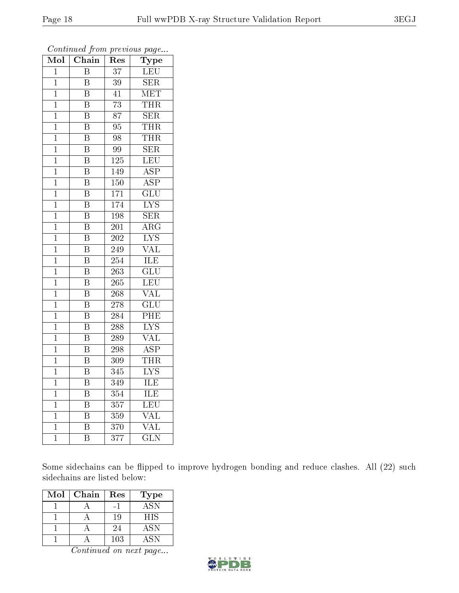| $\overline{\text{Mol}}$ | Chain                   | Res              | Type                      |
|-------------------------|-------------------------|------------------|---------------------------|
| $\mathbf{1}$            | B                       | 37               | <b>LEU</b>                |
| $\mathbf 1$             | $\overline{\mathrm{B}}$ | 39               | $\overline{\text{SER}}$   |
| $\mathbf{1}$            | $\overline{\mathrm{B}}$ | 41               | <b>MET</b>                |
| $\overline{1}$          | $\overline{\mathrm{B}}$ | $\overline{73}$  | THR                       |
| $\mathbf{1}$            | $\overline{\mathrm{B}}$ | $\overline{87}$  | $\overline{\text{SER}}$   |
| $\mathbf{1}$            | $\overline{\mathrm{B}}$ | 95               | <b>THR</b>                |
| $\mathbf 1$             | $\overline{\mathrm{B}}$ | 98               | THR                       |
| $\mathbf 1$             | $\overline{\mathrm{B}}$ | $9\overline{9}$  | $\overline{\text{SER}}$   |
| $\mathbf 1$             | B                       | 125              | LEU                       |
| $\mathbf 1$             | $\overline{\mathrm{B}}$ | 149              | $\overline{\text{ASP}}$   |
| $\mathbf 1$             | $\overline{\mathrm{B}}$ | 150              | $\overline{\text{ASP}}$   |
| $\overline{1}$          | $\overline{\mathrm{B}}$ | $\overline{171}$ | $\overline{{\rm GLU}}$    |
| $\overline{1}$          | $\overline{\mathrm{B}}$ | 174              | $\overline{\text{LYS}}$   |
| $\mathbf 1$             | $\overline{\textrm{B}}$ | 198              | $\overline{\text{SER}}$   |
| $\mathbf{1}$            | $\overline{\mathrm{B}}$ | 201              | $\overline{\rm{ARG}}$     |
| $\mathbf 1$             | $\overline{\mathrm{B}}$ | 202              | $\overline{\text{LYS}}$   |
| $\mathbf 1$             | $\overline{\mathrm{B}}$ | 249              | $\overline{\text{VAL}}$   |
| $\mathbf 1$             | $\overline{\mathrm{B}}$ | 254              | ILE                       |
| $\mathbf 1$             | $\overline{\mathrm{B}}$ | 263              | $\overline{\mathrm{GLU}}$ |
| $\overline{1}$          | $\overline{\mathrm{B}}$ | 265              | $\overline{\text{LEU}}$   |
| $\mathbf{1}$            | $\overline{\mathrm{B}}$ | $\overline{268}$ | $\overline{\text{VAL}}$   |
| $\mathbf 1$             | $\overline{\mathrm{B}}$ | 278              | $\overline{\text{GLU}}$   |
| $\mathbf 1$             | $\overline{\mathrm{B}}$ | 284              | $\overline{\rm{PHE}}$     |
| $\mathbf{1}$            | $\overline{\mathrm{B}}$ | $\overline{288}$ | $\overline{\text{LYS}}$   |
| $\mathbf{1}$            | $\overline{\mathrm{B}}$ | $\overline{2}89$ | $\overline{\text{VAL}}$   |
| $\mathbf 1$             | $\overline{\mathrm{B}}$ | 298              | $\overline{\text{ASP}}$   |
| $\mathbf 1$             | $\overline{\mathrm{B}}$ | 309              | <b>THR</b>                |
| $\mathbf{1}$            | $\overline{\rm B}$      | 345              | $\overline{\text{LYS}}$   |
| $\mathbf{1}$            | $\overline{\mathrm{B}}$ | 349              | $\overline{\text{ILE}}$   |
| $\mathbf{1}$            | B                       | 354              | $\overline{\text{ILE}}$   |
| $\mathbf 1$             | $\overline{\mathrm{B}}$ | $\overline{357}$ | $\overline{\text{LEU}}$   |
| $\mathbf{1}$            | $\overline{\mathrm{B}}$ | 359              | $\overline{\text{VAL}}$   |
| $\mathbf{1}$            | $\overline{\mathrm{B}}$ | 370              | $\overline{\text{VAL}}$   |
| $\overline{1}$          | $\overline{\mathrm{B}}$ | $\overline{377}$ | $\overline{\text{GLN}}$   |

Some sidechains can be flipped to improve hydrogen bonding and reduce clashes. All (22) such sidechains are listed below:

| Mol | Chain | Res | Type       |
|-----|-------|-----|------------|
|     |       |     | <b>ASN</b> |
|     |       | 19  | <b>HIS</b> |
|     |       | 24  | <b>ASN</b> |
|     |       | 103 | A SN       |

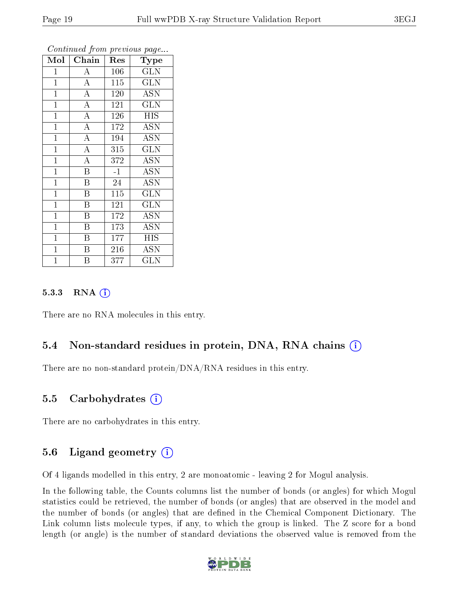| Mol            | Chain                   | Res  | Type                    |
|----------------|-------------------------|------|-------------------------|
| $\mathbf 1$    | А                       | 106  | GLN                     |
| $\mathbf{1}$   | $\overline{A}$          | 115  | <b>GLN</b>              |
| $\mathbf{1}$   | $\overline{A}$          | 120  | <b>ASN</b>              |
| $\mathbf{1}$   | $\overline{\rm A}$      | 121  | <b>GLN</b>              |
| $\overline{1}$ | $\overline{A}$          | 126  | <b>HIS</b>              |
| $\mathbf{1}$   | $\overline{A}$          | 172  | <b>ASN</b>              |
| $\overline{1}$ | $\overline{\rm A}$      | 194  | <b>ASN</b>              |
| $\overline{1}$ | $\overline{A}$          | 315  | $\overline{\text{GLN}}$ |
| $\mathbf{1}$   | $\overline{\rm A}$      | 372  | <b>ASN</b>              |
| $\mathbf{1}$   | $\overline{\mathrm{B}}$ | $-1$ | <b>ASN</b>              |
| $\mathbf{1}$   | Β                       | 24   | <b>ASN</b>              |
| $\mathbf{1}$   | B                       | 115  | <b>GLN</b>              |
| $\mathbf{1}$   | $\overline{B}$          | 121  | <b>GLN</b>              |
| $\mathbf{1}$   | B                       | 172  | <b>ASN</b>              |
| $\mathbf{1}$   | $\overline{\mathrm{B}}$ | 173  | <b>ASN</b>              |
| $\mathbf{1}$   | $\boldsymbol{B}$        | 177  | <b>HIS</b>              |
| $\mathbf 1$    | B                       | 216  | <b>ASN</b>              |
| $\mathbf 1$    | Β                       | 377  | GLN                     |

#### $5.3.3$  RNA  $(i)$

There are no RNA molecules in this entry.

#### 5.4 Non-standard residues in protein, DNA, RNA chains (i)

There are no non-standard protein/DNA/RNA residues in this entry.

#### 5.5 Carbohydrates (i)

There are no carbohydrates in this entry.

#### 5.6 Ligand geometry  $(i)$

Of 4 ligands modelled in this entry, 2 are monoatomic - leaving 2 for Mogul analysis.

In the following table, the Counts columns list the number of bonds (or angles) for which Mogul statistics could be retrieved, the number of bonds (or angles) that are observed in the model and the number of bonds (or angles) that are defined in the Chemical Component Dictionary. The Link column lists molecule types, if any, to which the group is linked. The Z score for a bond length (or angle) is the number of standard deviations the observed value is removed from the

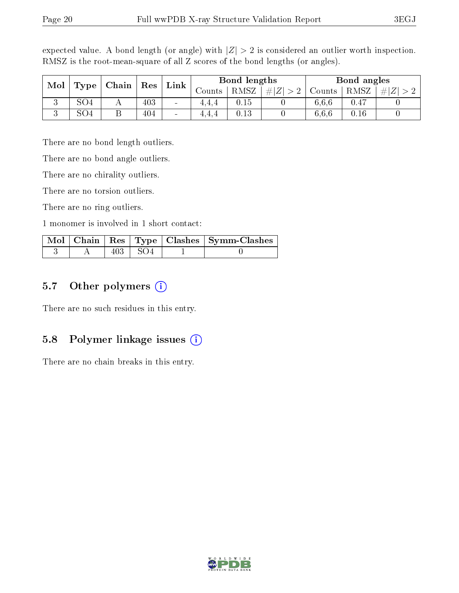| Mol<br>Type |                 | Chain | $R$ es              |                 | Bond lengths<br>Link |          |      | Bond angles   |          |  |
|-------------|-----------------|-------|---------------------|-----------------|----------------------|----------|------|---------------|----------|--|
|             |                 |       | $\sim$ ounts $\sim$ | RMSZ            | $\# Z^{\dagger} $    | Counts   | RMSZ | #<br>$\Delta$ |          |  |
| ◡           | SO <sub>4</sub> |       | 403                 | $\qquad \qquad$ | 4.4.4                | $0.15\,$ |      | 6.6.6         | $0.47\,$ |  |
| ച<br>ιJ     | SO <sub>4</sub> |       | 404                 | $\blacksquare$  | 4,4,4                | 0.13     |      | 6.6.6         | 0.16     |  |

expected value. A bond length (or angle) with  $|Z| > 2$  is considered an outlier worth inspection. RMSZ is the root-mean-square of all Z scores of the bond lengths (or angles).

There are no bond length outliers.

There are no bond angle outliers.

There are no chirality outliers.

There are no torsion outliers.

There are no ring outliers.

1 monomer is involved in 1 short contact:

|  |                | Mol   Chain   Res   Type   Clashes   Symm-Clashes |
|--|----------------|---------------------------------------------------|
|  | $403 \div SO4$ |                                                   |

#### 5.7 [O](https://www.wwpdb.org/validation/2017/XrayValidationReportHelp#nonstandard_residues_and_ligands)ther polymers  $(i)$

There are no such residues in this entry.

#### 5.8 Polymer linkage issues  $(i)$

There are no chain breaks in this entry.

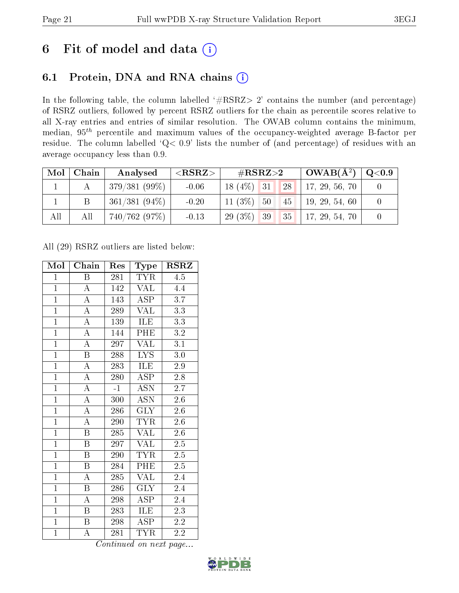### 6 Fit of model and data  $(i)$

### 6.1 Protein, DNA and RNA chains  $(i)$

In the following table, the column labelled  $#RSRZ> 2'$  contains the number (and percentage) of RSRZ outliers, followed by percent RSRZ outliers for the chain as percentile scores relative to all X-ray entries and entries of similar resolution. The OWAB column contains the minimum, median,  $95<sup>th</sup>$  percentile and maximum values of the occupancy-weighted average B-factor per residue. The column labelled ' $Q< 0.9$ ' lists the number of (and percentage) of residues with an average occupancy less than 0.9.

| Mol | Chain | Analysed        | ${ <\hspace{-1.5pt}{\mathrm{RSRZ}} \hspace{-1.5pt}>}$ | $\rm \#RSRZ{>}2$              | $\mid$ OWAB( $A^2$ ) | $\mid \text{Q} {<} 0.9$ |
|-----|-------|-----------------|-------------------------------------------------------|-------------------------------|----------------------|-------------------------|
|     |       | $379/381(99\%)$ | $-0.06$                                               | $18(4\%)$ 31<br> 28           | 17, 29, 56, 70       |                         |
|     |       | $361/381(94\%)$ | $-0.20$                                               | $11(3\%)$ 50<br>$145$ ] $^+$  | 19, 29, 54, 60       |                         |
| All | All   | 740/762(97%)    | $-0.13$                                               | 29 (3\%) 39 35 17, 29, 54, 70 |                      |                         |

All (29) RSRZ outliers are listed below:

| Mol            | Chain                   | Res  | Type                      | $\rm RSRZ$       |
|----------------|-------------------------|------|---------------------------|------------------|
| $\mathbf{1}$   | Β                       | 281  | <b>TYR</b>                | 4.5              |
| $\mathbf{1}$   | $\mathbf A$             | 142  | $\overline{\text{VAL}}$   | 4.4              |
| $\overline{1}$ | $\overline{\rm A}$      | 143  | $\overline{\text{ASP}}$   | 3.7              |
| $\overline{1}$ | $\overline{\rm A}$      | 289  | <b>VAL</b>                | 3.3              |
| $\overline{1}$ | $\overline{\rm A}$      | 139  | <b>ILE</b>                | $\overline{3.3}$ |
| $\overline{1}$ | $\overline{\rm A}$      | 144  | PHE                       | $3.2\,$          |
| $\overline{1}$ | $\overline{\rm A}$      | 297  | <b>VAL</b>                | $\overline{3.1}$ |
| $\overline{1}$ | $\overline{\mathrm{B}}$ | 288  | <b>LYS</b>                | $3.0\,$          |
| $\overline{1}$ | $\overline{\rm A}$      | 283  | <b>ILE</b>                | 2.9              |
| $\overline{1}$ | $\overline{\rm A}$      | 280  | $\overline{\text{ASP}}$   | 2.8              |
| $\overline{1}$ | $\overline{\rm A}$      | $-1$ | <b>ASN</b>                | $2.\overline{7}$ |
| $\overline{1}$ | $\overline{A}$          | 300  | $\overline{\mathrm{ASN}}$ | $2.6\,$          |
| $\overline{1}$ | $\overline{A}$          | 286  | <b>GLY</b>                | 2.6              |
| $\overline{1}$ | $\overline{\rm A}$      | 290  | TYR                       | 2.6              |
| $\overline{1}$ | $\overline{\mathrm{B}}$ | 285  | $\overline{\text{VAL}}$   | $2.6\,$          |
| $\mathbf{1}$   | $\boldsymbol{B}$        | 297  | <b>VAL</b>                | $2.5\,$          |
| $\overline{1}$ | $\overline{\mathrm{B}}$ | 290  | <b>TYR</b>                | $\overline{2.5}$ |
| $\overline{1}$ | $\boldsymbol{B}$        | 284  | PHE                       | $2.5\,$          |
| $\overline{1}$ | $\overline{\rm A}$      | 285  | $\overline{\text{VAL}}$   | 2.4              |
| $\overline{1}$ | $\overline{\mathbf{B}}$ | 286  | $\overline{\text{GLY}}$   | 2.4              |
| $\overline{1}$ | $\boldsymbol{A}$        | 298  | <b>ASP</b>                | 2.4              |
| $\overline{1}$ | Β                       | 283  | ILE                       | $2.\overline{3}$ |
| $\mathbf{1}$   | B                       | 298  | <b>ASP</b>                | 2.2              |
| $\mathbf{1}$   | А                       | 281  | $\overline{\text{TYR}}$   | 2.2              |